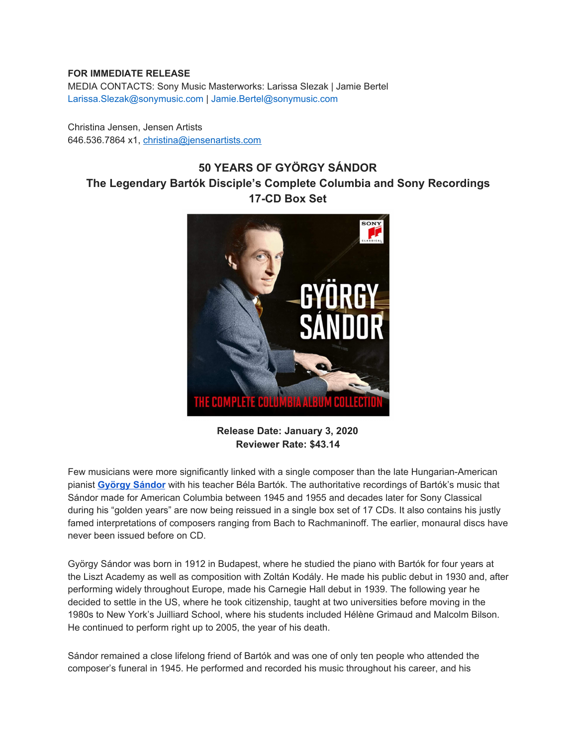## **FOR IMMEDIATE RELEASE**

MEDIA CONTACTS: Sony Music Masterworks: Larissa Slezak | Jamie Bertel Larissa.Slezak@sonymusic.com | Jamie.Bertel@sonymusic.com

Christina Jensen, Jensen Artists 646.536.7864 x1, christina@jensenartists.com

## **50 YEARS OF GYÖRGY SÁNDOR The Legendary Bartók Disciple's Complete Columbia and Sony Recordings 17-CD Box Set**



**Release Date: January 3, 2020 Reviewer Rate: \$43.14**

Few musicians were more significantly linked with a single composer than the late Hungarian-American pianist **[György](https://u7061146.ct.sendgrid.net/wf/click?upn=G62jSYfZdO-2F12d8lSllQBzPIYIcZrqoAWj7wUY3Tsgpcu99v5t7TwLehzLgjnCxo-2BKqTQfoPDlk1DSdYfQPbXefdPZu15RfhKbI60nL-2Bultfs9X1OWtEs1NjG-2FWp5dh0_DruDjhchMBr5xQkz3h1qcOnjZc-2BCsAVhraQ7DxYhbA2-2BHLQf-2BHKWaWi2FTM7QHo-2Fd7eCMDRMAhfd2mcWSs-2FpzNW9MmuPwV7rH-2FbDd7DdSSam2-2Fy-2FiRJUSyp4Bc0S7YCmDF-2FvY7PJA0cBgriXP0ZvPP0sj-2FU34Jw-2BmEd3bMHvW5OeYO7ZuIDe9wl3aOPMOo19a45qJ53iYE0tFJnOtUMs3NnjFrtHm28hv1Mha2TqxPLxT-2FVcRcD-2Bf8yz5W0DHznfJ1ivqLnxhDdCC7kCncNwquoFaWswz-2BE7TytMWKj1DEZeS0Q7vB2QydDo87bm-2F4LWYmgIJYVdBAwjtUhVYwOQRtCCWy5Y-2FmezKaeuaawtWxo-3D) Sándor** with his teacher Béla Bartók. The authoritative recordings of Bartók's music that Sándor made for American Columbia between 1945 and 1955 and decades later for Sony Classical during his "golden years" are now being reissued in a single box set of 17 CDs. It also contains his justly famed interpretations of composers ranging from Bach to Rachmaninoff. The earlier, monaural discs have never been issued before on CD.

György Sándor was born in 1912 in Budapest, where he studied the piano with Bartók for four years at the Liszt Academy as well as composition with Zoltán Kodály. He made his public debut in 1930 and, after performing widely throughout Europe, made his Carnegie Hall debut in 1939. The following year he decided to settle in the US, where he took citizenship, taught at two universities before moving in the 1980s to New York's Juilliard School, where his students included Hélène Grimaud and Malcolm Bilson. He continued to perform right up to 2005, the year of his death.

Sándor remained a close lifelong friend of Bartók and was one of only ten people who attended the composer's funeral in 1945. He performed and recorded his music throughout his career, and his